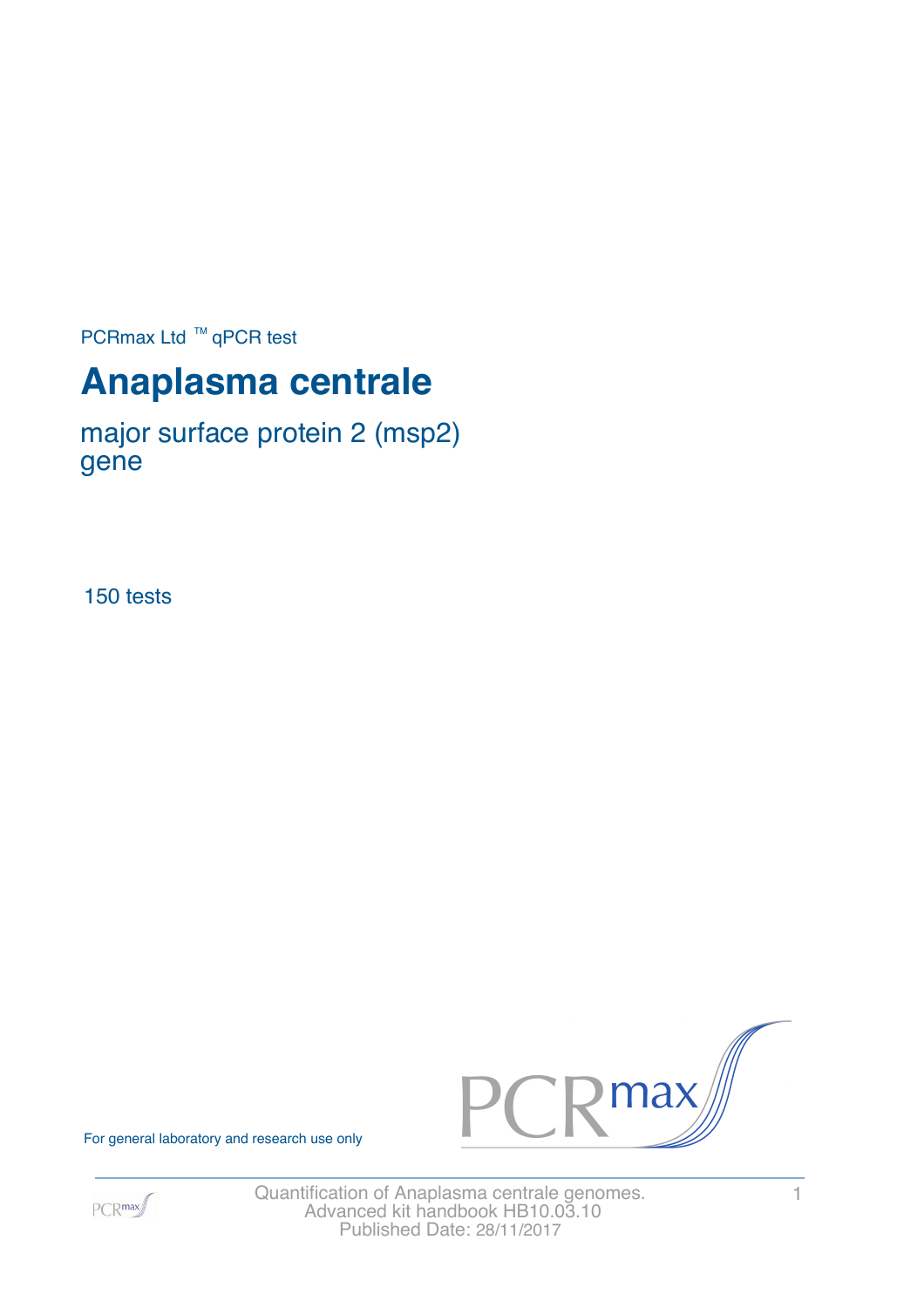PCRmax Ltd  $™$  qPCR test

# **Anaplasma centrale**

major surface protein 2 (msp2) gene

150 tests



For general laboratory and research use only



Quantification of Anaplasma centrale genomes. 1 Advanced kit handbook HB10.03.10 Published Date: 28/11/2017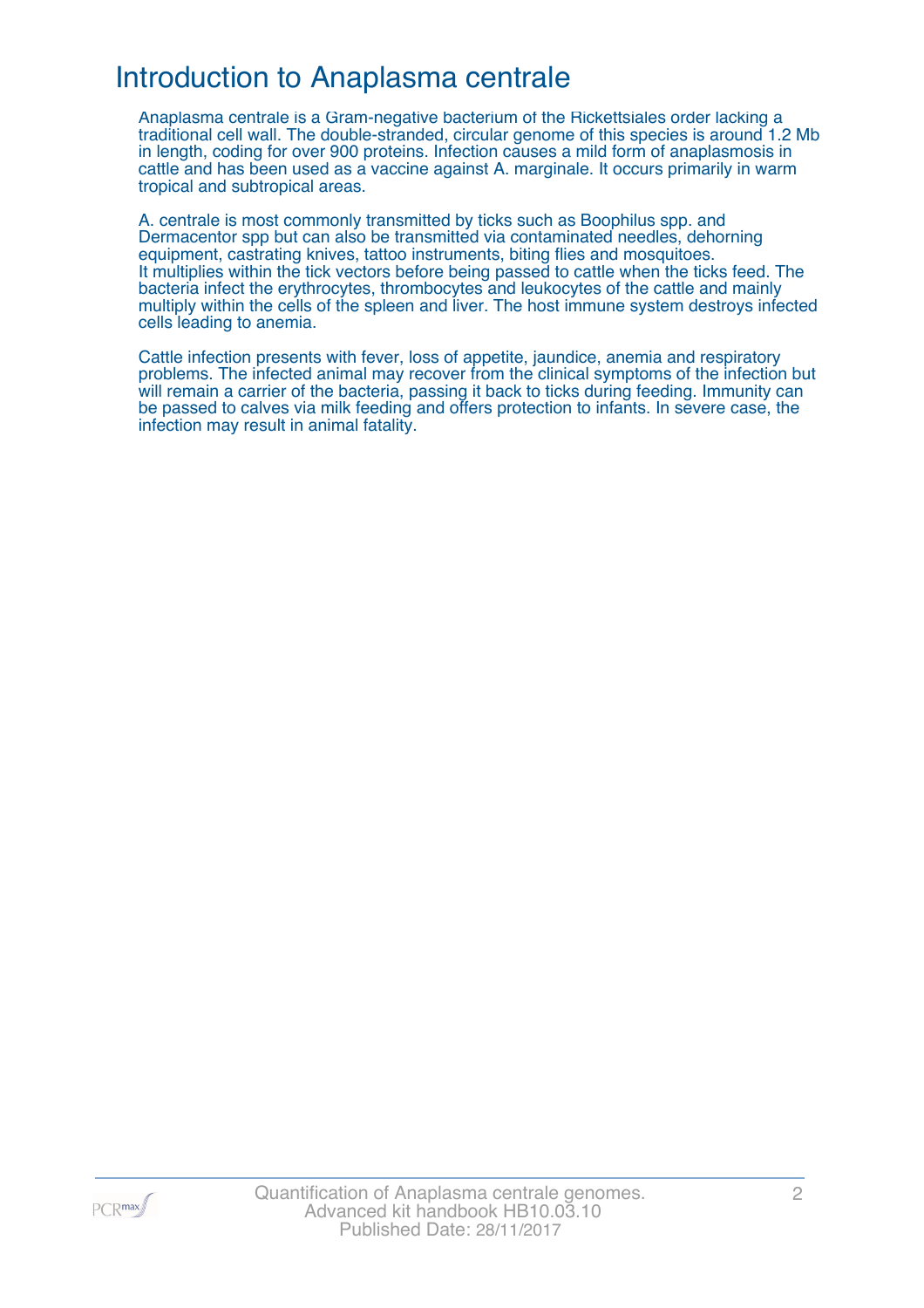### Introduction to Anaplasma centrale

Anaplasma centrale is a Gram-negative bacterium of the Rickettsiales order lacking a traditional cell wall. The double-stranded, circular genome of this species is around 1.2 Mb in length, coding for over 900 proteins. Infection causes a mild form of anaplasmosis in cattle and has been used as a vaccine against A. marginale. It occurs primarily in warm tropical and subtropical areas.

A. centrale is most commonly transmitted by ticks such as Boophilus spp. and Dermacentor spp but can also be transmitted via contaminated needles, dehorning equipment, castrating knives, tattoo instruments, biting flies and mosquitoes. It multiplies within the tick vectors before being passed to cattle when the ticks feed. The bacteria infect the erythrocytes, thrombocytes and leukocytes of the cattle and mainly multiply within the cells of the spleen and liver. The host immune system destroys infected cells leading to anemia.

Cattle infection presents with fever, loss of appetite, jaundice, anemia and respiratory problems. The infected animal may recover from the clinical symptoms of the infection but will remain a carrier of the bacteria, passing it back to ticks during feeding. Immunity can be passed to calves via milk feeding and offers protection to infants. In severe case, the infection may result in animal fatality.

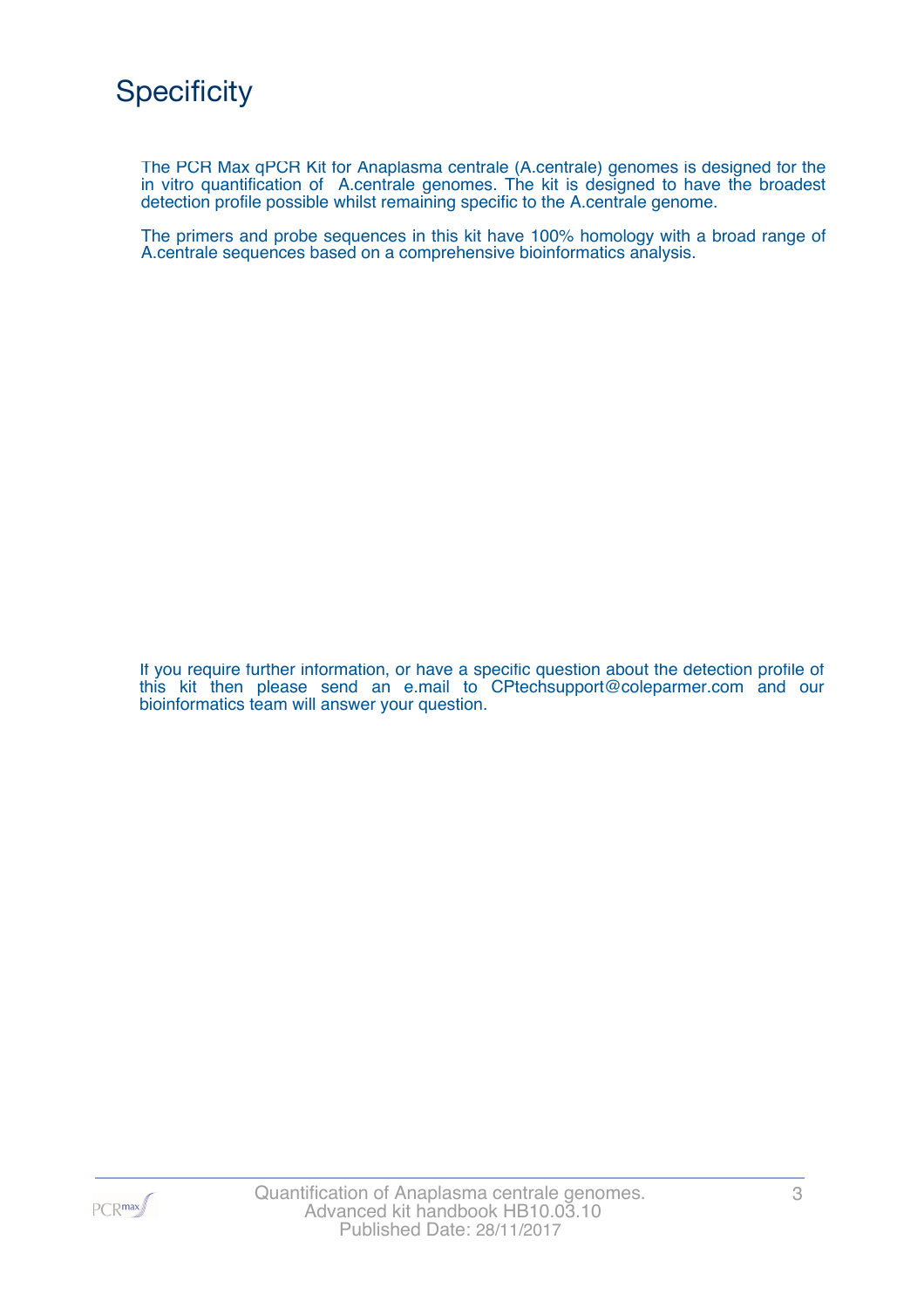The PCR Max qPCR Kit for Anaplasma centrale (A.centrale) genomes is designed for the in vitro quantification of A.centrale genomes. The kit is designed to have the broadest detection profile possible whilst remaining specific to the A.centrale genome.

The primers and probe sequences in this kit have 100% homology with a broad range of A.centrale sequences based on a comprehensive bioinformatics analysis.

If you require further information, or have a specific question about the detection profile of this kit then please send an e.mail to CPtechsupport@coleparmer.com and our bioinformatics team will answer your question.

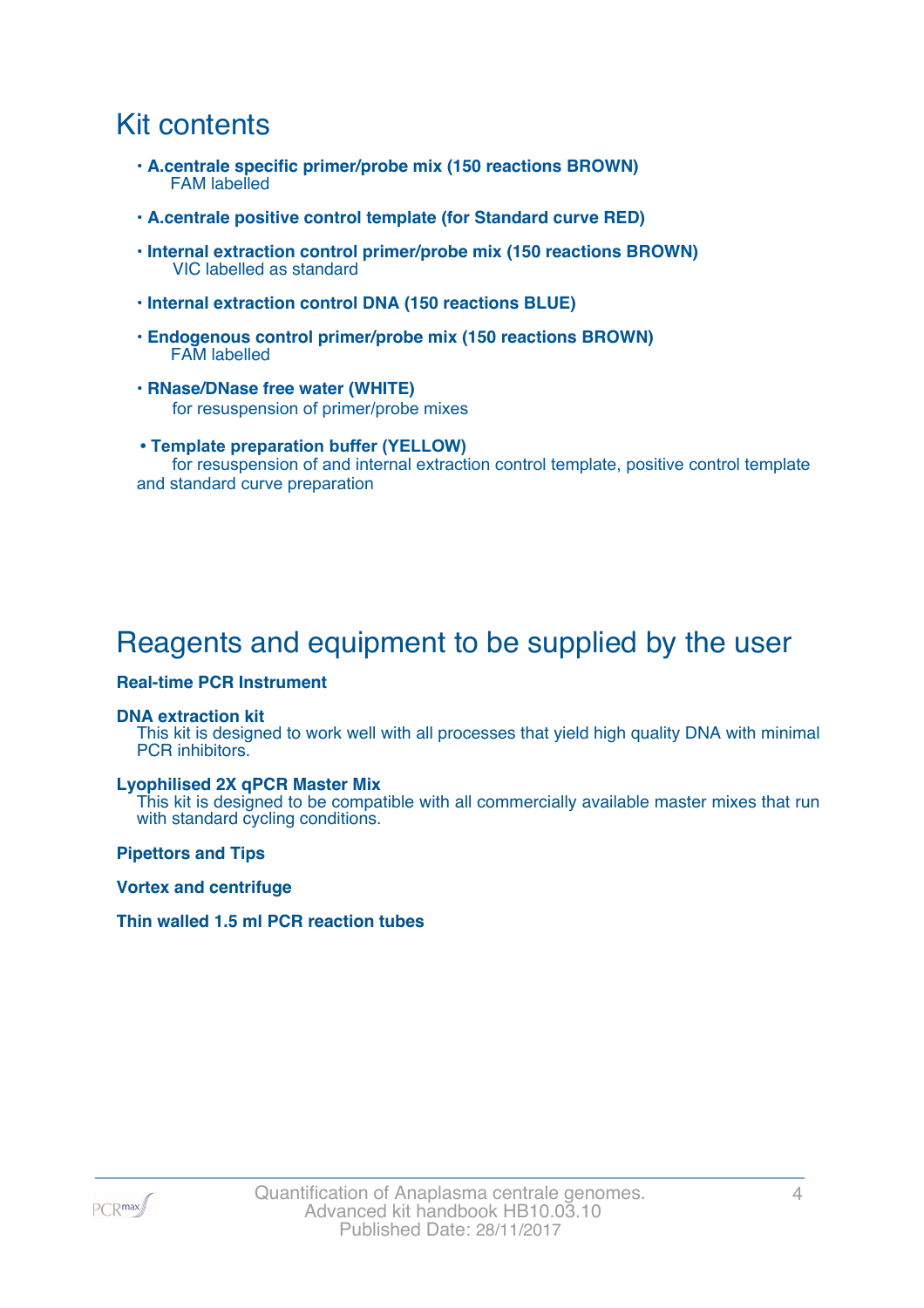### Kit contents

- **A.centrale specific primer/probe mix (150 reactions BROWN)** FAM labelled
- **A.centrale positive control template (for Standard curve RED)**
- **Internal extraction control primer/probe mix (150 reactions BROWN)** VIC labelled as standard
- **Internal extraction control DNA (150 reactions BLUE)**
- **Endogenous control primer/probe mix (150 reactions BROWN)** FAM labelled
- **RNase/DNase free water (WHITE)** for resuspension of primer/probe mixes
- **Template preparation buffer (YELLOW)** for resuspension of and internal extraction control template, positive control template and standard curve preparation

## Reagents and equipment to be supplied by the user

#### **Real-time PCR Instrument**

#### **DNA extraction kit**

This kit is designed to work well with all processes that yield high quality DNA with minimal PCR inhibitors.

#### **Lyophilised 2X qPCR Master Mix**

This kit is designed to be compatible with all commercially available master mixes that run with standard cycling conditions.

**Pipettors and Tips**

**Vortex and centrifuge**

#### **Thin walled 1.5 ml PCR reaction tubes**

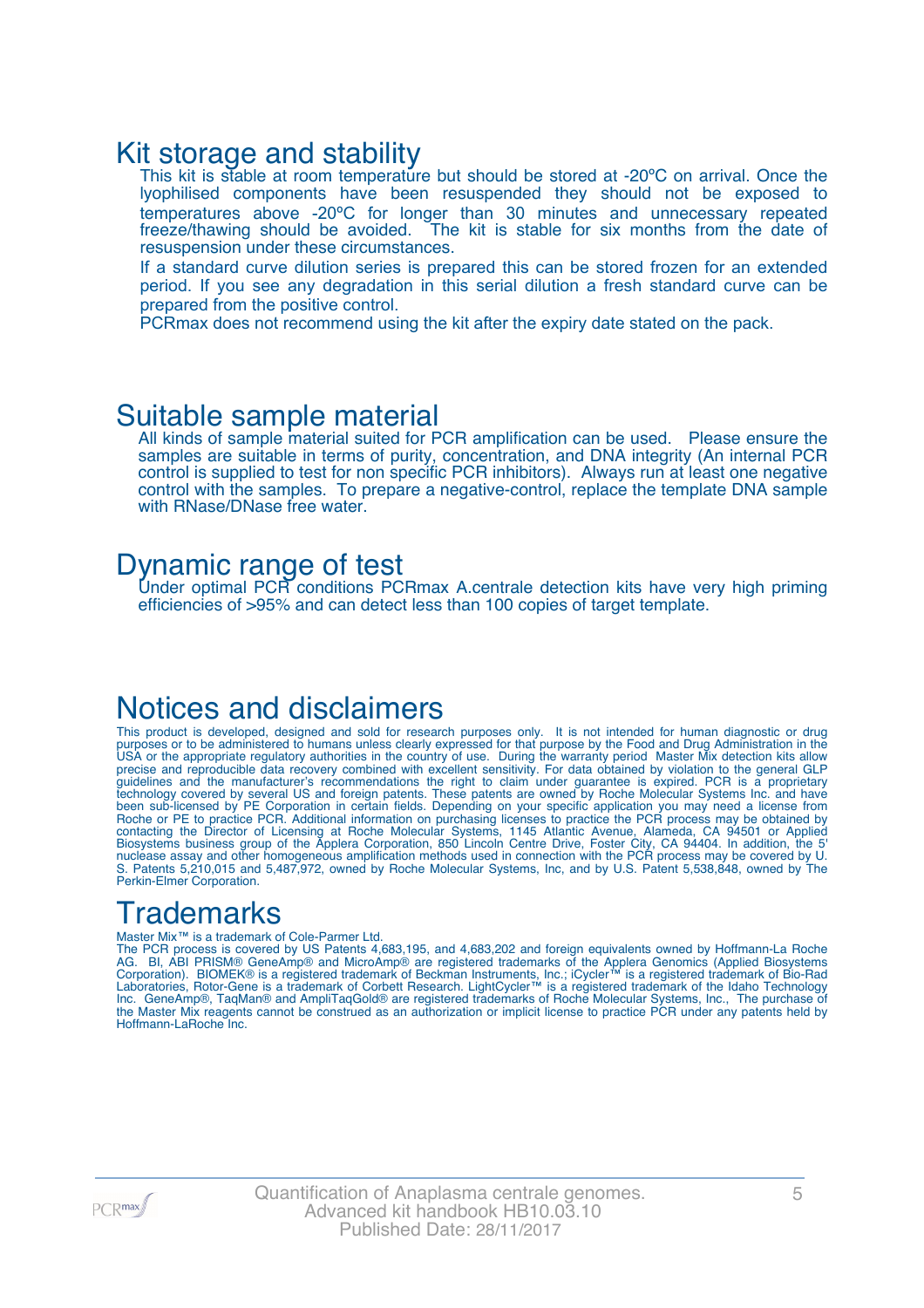### Kit storage and stability

This kit is stable at room temperature but should be stored at -20°C on arrival. Once the lyophilised components have been resuspended they should not be exposed to temperatures above -20ºC for longer than 30 minutes and unnecessary repeated freeze/thawing should be avoided. The kit is stable for six months from the date of resuspension under these circumstances.

If a standard curve dilution series is prepared this can be stored frozen for an extended period. If you see any degradation in this serial dilution a fresh standard curve can be prepared from the positive control.

PCRmax does not recommend using the kit after the expiry date stated on the pack.

### Suitable sample material

All kinds of sample material suited for PCR amplification can be used. Please ensure the samples are suitable in terms of purity, concentration, and DNA integrity (An internal PCR control is supplied to test for non specific PCR inhibitors). Always run at least one negative control with the samples. To prepare a negative-control, replace the template DNA sample with RNase/DNase free water.

### Dynamic range of test

Under optimal PCR conditions PCRmax A.centrale detection kits have very high priming efficiencies of >95% and can detect less than 100 copies of target template.

### Notices and disclaimers

This product is developed, designed and sold for research purposes only. It is not intended for human diagnostic or drug purposes or to be administered to humans unless clearly expressed for that purpose by the Food and Drug Administration in the USA or the appropriate regulatory authorities in the country of use. During the warranty period Master Mix detection kits allow precise and reproducible data recovery combined with excellent sensitivity. For data obtained by violation to the general GLP guidelines and the manufacturer's recommendations the right to claim under guarantee is expired. PCR is a proprietary technology covered by several US and foreign patents. These patents are owned by Roche Molecular Systems Inc. and have been sub-licensed by PE Corporation in certain fields. Depending on your specific application you may need a license from Roche or PE to practice PCR. Additional information on purchasing licenses to practice the PCR process may be obtained by contacting the Director of Licensing at Roche Molecular Systems, 1145 Atlantic Avenue, Alameda, CA 94501 or Applied Biosystems business group of the Applera Corporation, 850 Lincoln Centre Drive, Foster City, CA 94404. In addition, the 5' nuclease assay and other homogeneous amplification methods used in connection with the PCR process may be covered by U. S. Patents 5,210,015 and 5,487,972, owned by Roche Molecular Systems, Inc, and by U.S. Patent 5,538,848, owned by The Perkin-Elmer Corporation.

## **Trademarks**

#### Master Mix™ is a trademark of Cole-Parmer Ltd.

The PCR process is covered by US Patents 4,683,195, and 4,683,202 and foreign equivalents owned by Hoffmann-La Roche AG. BI, ABI PRISM® GeneAmp® and MicroAmp® are registered trademarks of the Applera Genomics (Applied Biosystems Corporation). BIOMEK® is a registered trademark of Beckman Instruments, Inc.; iCycler™ is a registered trademark of Bio-Rad Laboratories, Rotor-Gene is a trademark of Corbett Research. LightCycler™ is a registered trademark of the Idaho Technology Inc. GeneAmp®, TaqMan® and AmpliTaqGold® are registered trademarks of Roche Molecular Systems, Inc., The purchase of the Master Mix reagents cannot be construed as an authorization or implicit license to practice PCR under any patents held by Hoffmann-LaRoche Inc.

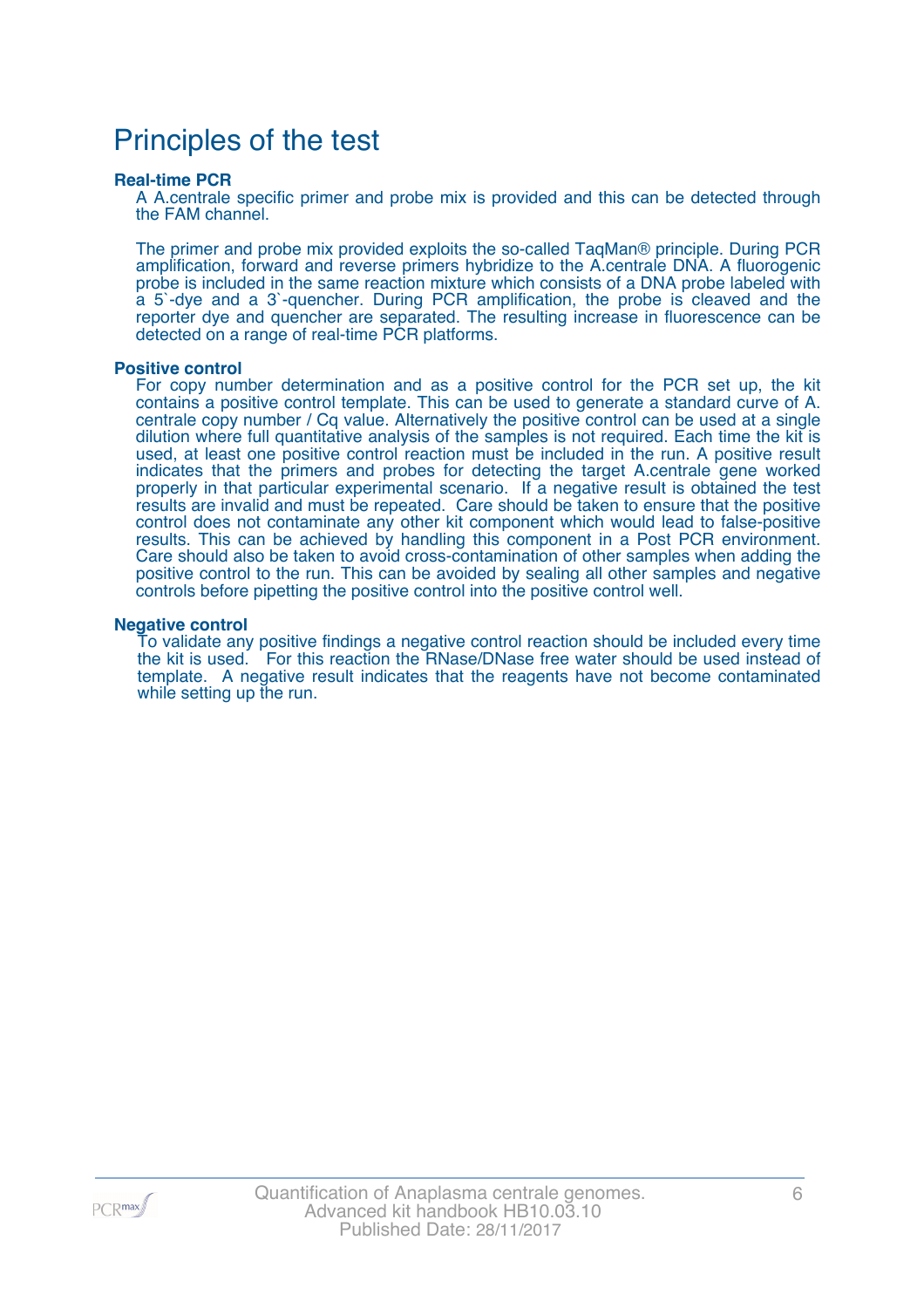### Principles of the test

#### **Real-time PCR**

A A.centrale specific primer and probe mix is provided and this can be detected through the FAM channel.

The primer and probe mix provided exploits the so-called TaqMan® principle. During PCR amplification, forward and reverse primers hybridize to the A.centrale DNA. A fluorogenic probe is included in the same reaction mixture which consists of a DNA probe labeled with a 5`-dye and a 3`-quencher. During PCR amplification, the probe is cleaved and the reporter dye and quencher are separated. The resulting increase in fluorescence can be detected on a range of real-time PCR platforms.

#### **Positive control**

For copy number determination and as a positive control for the PCR set up, the kit contains a positive control template. This can be used to generate a standard curve of A. centrale copy number / Cq value. Alternatively the positive control can be used at a single dilution where full quantitative analysis of the samples is not required. Each time the kit is used, at least one positive control reaction must be included in the run. A positive result indicates that the primers and probes for detecting the target A.centrale gene worked properly in that particular experimental scenario. If a negative result is obtained the test results are invalid and must be repeated. Care should be taken to ensure that the positive control does not contaminate any other kit component which would lead to false-positive results. This can be achieved by handling this component in a Post PCR environment. Care should also be taken to avoid cross-contamination of other samples when adding the positive control to the run. This can be avoided by sealing all other samples and negative controls before pipetting the positive control into the positive control well.

#### **Negative control**

To validate any positive findings a negative control reaction should be included every time the kit is used. For this reaction the RNase/DNase free water should be used instead of template. A negative result indicates that the reagents have not become contaminated while setting up the run.

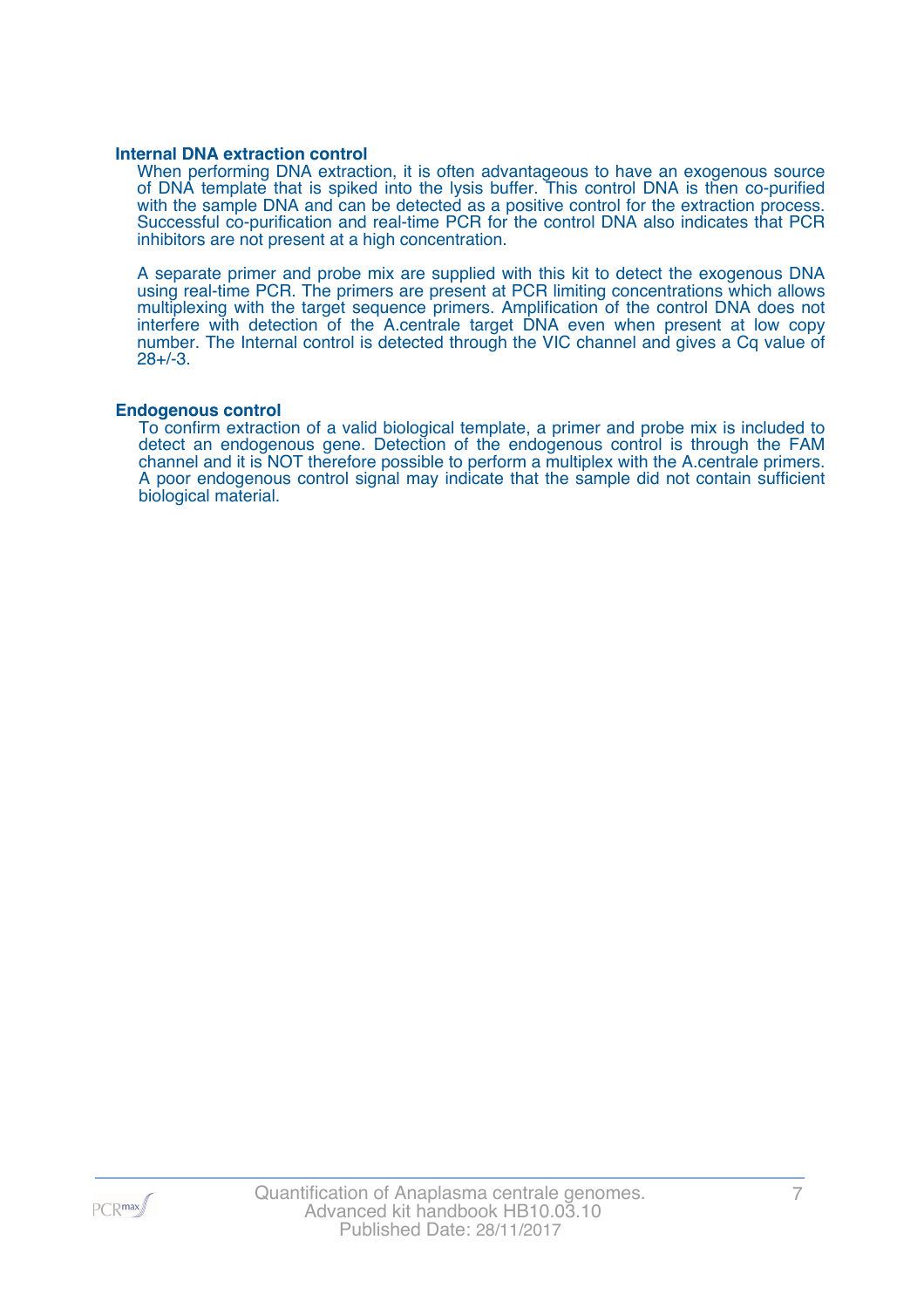#### **Internal DNA extraction control**

When performing DNA extraction, it is often advantageous to have an exogenous source of DNA template that is spiked into the lysis buffer. This control DNA is then co-purified with the sample DNA and can be detected as a positive control for the extraction process. Successful co-purification and real-time PCR for the control DNA also indicates that PCR inhibitors are not present at a high concentration.

A separate primer and probe mix are supplied with this kit to detect the exogenous DNA using real-time PCR. The primers are present at PCR limiting concentrations which allows multiplexing with the target sequence primers. Amplification of the control DNA does not interfere with detection of the A.centrale target DNA even when present at low copy number. The Internal control is detected through the VIC channel and gives a Cq value of 28+/-3.

#### **Endogenous control**

To confirm extraction of a valid biological template, a primer and probe mix is included to detect an endogenous gene. Detection of the endogenous control is through the FAM channel and it is NOT therefore possible to perform a multiplex with the A.centrale primers. A poor endogenous control signal may indicate that the sample did not contain sufficient biological material.

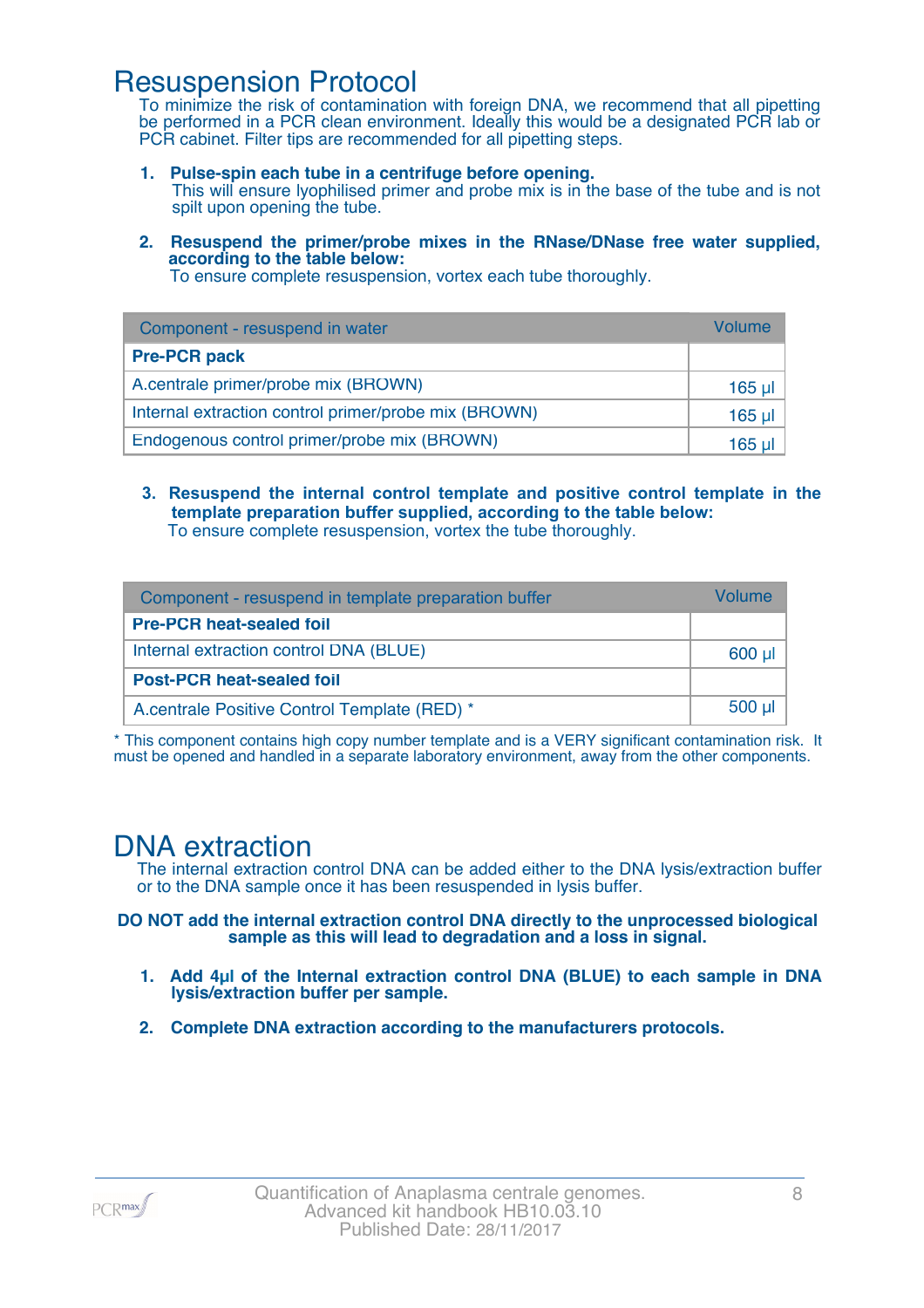### Resuspension Protocol

To minimize the risk of contamination with foreign DNA, we recommend that all pipetting be performed in a PCR clean environment. Ideally this would be a designated PCR lab or PCR cabinet. Filter tips are recommended for all pipetting steps.

- **1. Pulse-spin each tube in a centrifuge before opening.** This will ensure lyophilised primer and probe mix is in the base of the tube and is not spilt upon opening the tube.
- **2. Resuspend the primer/probe mixes in the RNase/DNase free water supplied, according to the table below:**

To ensure complete resuspension, vortex each tube thoroughly.

| Component - resuspend in water                       | Volume   |
|------------------------------------------------------|----------|
| <b>Pre-PCR pack</b>                                  |          |
| A.centrale primer/probe mix (BROWN)                  | $165$ µl |
| Internal extraction control primer/probe mix (BROWN) | 165 µl   |
| Endogenous control primer/probe mix (BROWN)          | 165 ul   |

**3. Resuspend the internal control template and positive control template in the template preparation buffer supplied, according to the table below:** To ensure complete resuspension, vortex the tube thoroughly.

| Component - resuspend in template preparation buffer |          |  |
|------------------------------------------------------|----------|--|
| <b>Pre-PCR heat-sealed foil</b>                      |          |  |
| Internal extraction control DNA (BLUE)               | 600 µl   |  |
| <b>Post-PCR heat-sealed foil</b>                     |          |  |
| A.centrale Positive Control Template (RED) *         | $500$ µl |  |

\* This component contains high copy number template and is a VERY significant contamination risk. It must be opened and handled in a separate laboratory environment, away from the other components.

### DNA extraction

The internal extraction control DNA can be added either to the DNA lysis/extraction buffer or to the DNA sample once it has been resuspended in lysis buffer.

**DO NOT add the internal extraction control DNA directly to the unprocessed biological sample as this will lead to degradation and a loss in signal.**

- **1. Add 4µl of the Internal extraction control DNA (BLUE) to each sample in DNA lysis/extraction buffer per sample.**
- **2. Complete DNA extraction according to the manufacturers protocols.**

PCR<sub>max</sub>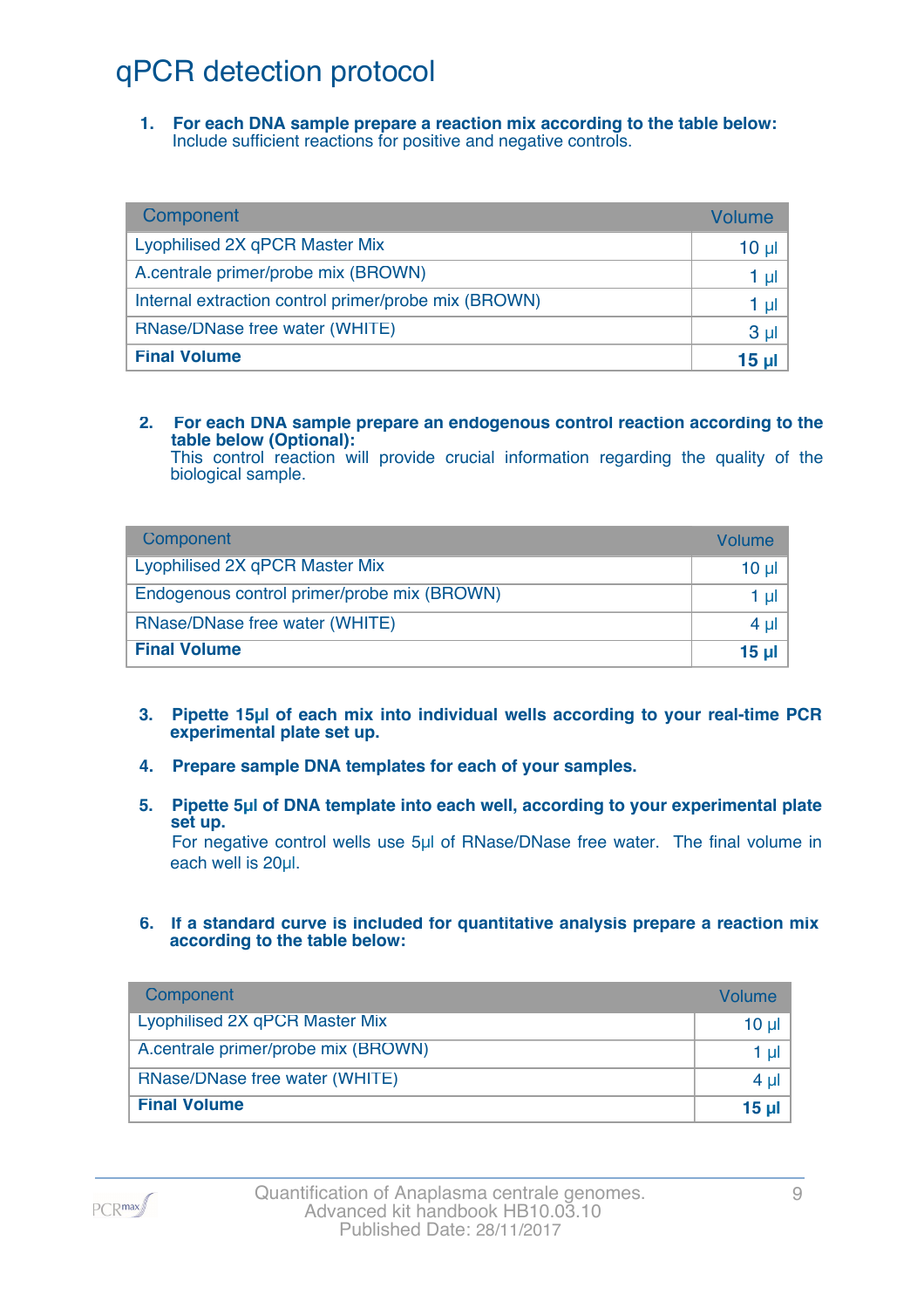## qPCR detection protocol

**1. For each DNA sample prepare a reaction mix according to the table below:** Include sufficient reactions for positive and negative controls.

| Component                                            | Volume          |
|------------------------------------------------------|-----------------|
| Lyophilised 2X qPCR Master Mix                       | 10 <sub>µ</sub> |
| A.centrale primer/probe mix (BROWN)                  | 1 µl            |
| Internal extraction control primer/probe mix (BROWN) | 1 µl            |
| RNase/DNase free water (WHITE)                       | 3 <sub>µ</sub>  |
| <b>Final Volume</b>                                  | 15 <sub>µ</sub> |

#### **2. For each DNA sample prepare an endogenous control reaction according to the table below (Optional):**

This control reaction will provide crucial information regarding the quality of the biological sample.

| Component                                   | Volume       |
|---------------------------------------------|--------------|
| Lyophilised 2X qPCR Master Mix              | 10 ul        |
| Endogenous control primer/probe mix (BROWN) | 1 ul         |
| RNase/DNase free water (WHITE)              | $4 \mu$      |
| <b>Final Volume</b>                         | <u>15 ul</u> |

- **3. Pipette 15µl of each mix into individual wells according to your real-time PCR experimental plate set up.**
- **4. Prepare sample DNA templates for each of your samples.**
- **5. Pipette 5µl of DNA template into each well, according to your experimental plate set up.**

For negative control wells use 5µl of RNase/DNase free water. The final volume in each well is 20ul.

**6. If a standard curve is included for quantitative analysis prepare a reaction mix according to the table below:**

| Component                           | Volume   |
|-------------------------------------|----------|
| Lyophilised 2X qPCR Master Mix      | $10 \mu$ |
| A.centrale primer/probe mix (BROWN) | 1 $\mu$  |
| RNase/DNase free water (WHITE)      | $4 \mu$  |
| <b>Final Volume</b>                 | 15 $\mu$ |

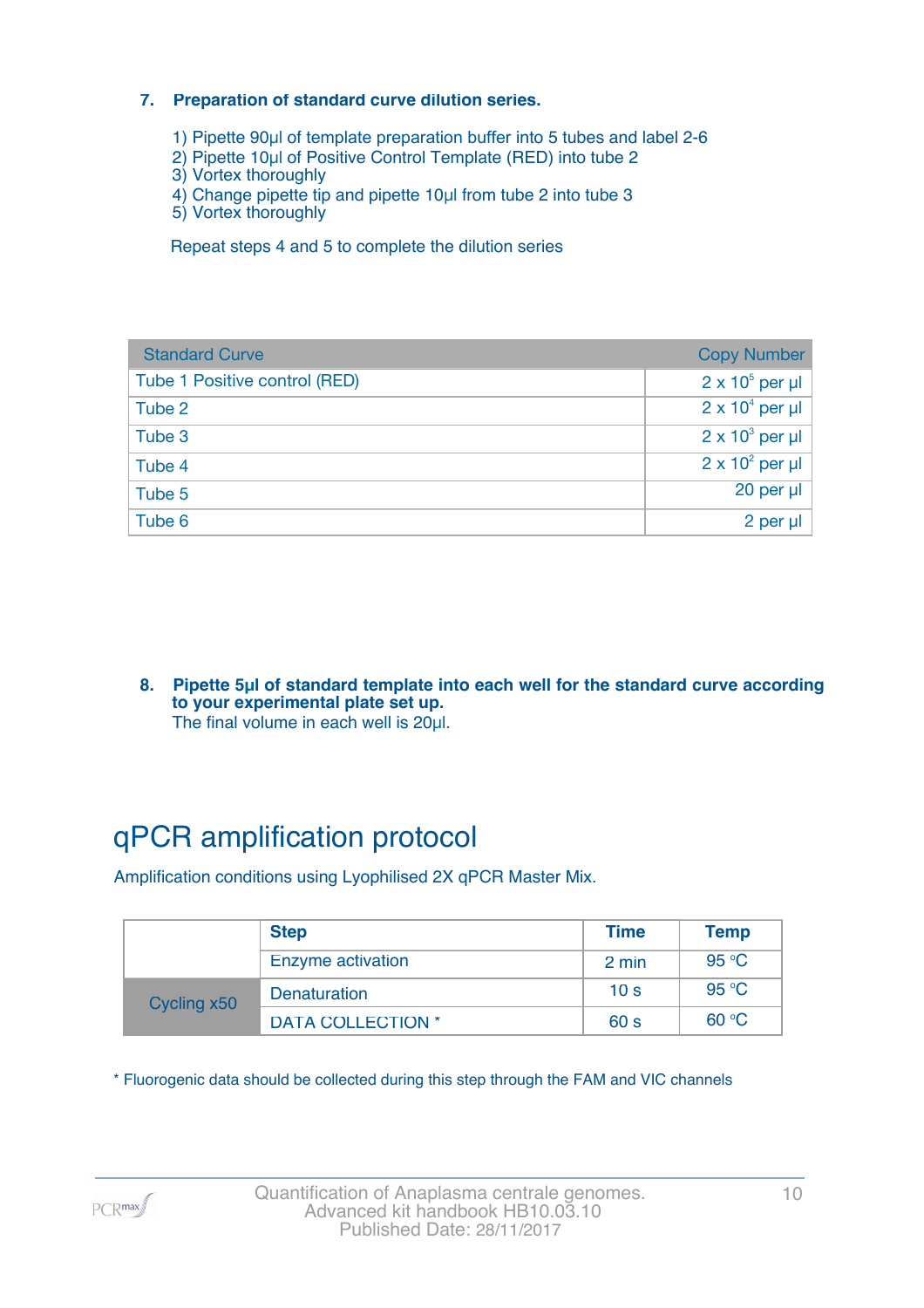#### **7. Preparation of standard curve dilution series.**

- 1) Pipette 90µl of template preparation buffer into 5 tubes and label 2-6
- 2) Pipette 10µl of Positive Control Template (RED) into tube 2
- 3) Vortex thoroughly
- 4) Change pipette tip and pipette 10µl from tube 2 into tube 3
- 5) Vortex thoroughly

Repeat steps 4 and 5 to complete the dilution series

| <b>Standard Curve</b>         | <b>Copy Number</b>     |
|-------------------------------|------------------------|
| Tube 1 Positive control (RED) | $2 \times 10^5$ per µl |
| Tube 2                        | $2 \times 10^4$ per µl |
| Tube 3                        | $2 \times 10^3$ per µl |
| Tube 4                        | $2 \times 10^2$ per µl |
| Tube 5                        | 20 per µl              |
| Tube 6                        | 2 per µl               |

**8. Pipette 5µl of standard template into each well for the standard curve according to your experimental plate set up.** The final volume in each well is 20µl.

## qPCR amplification protocol

Amplification conditions using Lyophilised 2X qPCR Master Mix.

|             | <b>Step</b>              | <b>Time</b>     | <b>Temp</b> |
|-------------|--------------------------|-----------------|-------------|
|             | Enzyme activation        | 2 min           | 95 °C       |
| Cycling x50 | Denaturation             | 10 <sub>s</sub> | 95 °C       |
|             | <b>DATA COLLECTION *</b> | 60 <sub>s</sub> | 60 °C       |

\* Fluorogenic data should be collected during this step through the FAM and VIC channels

PCR<sub>max</sub>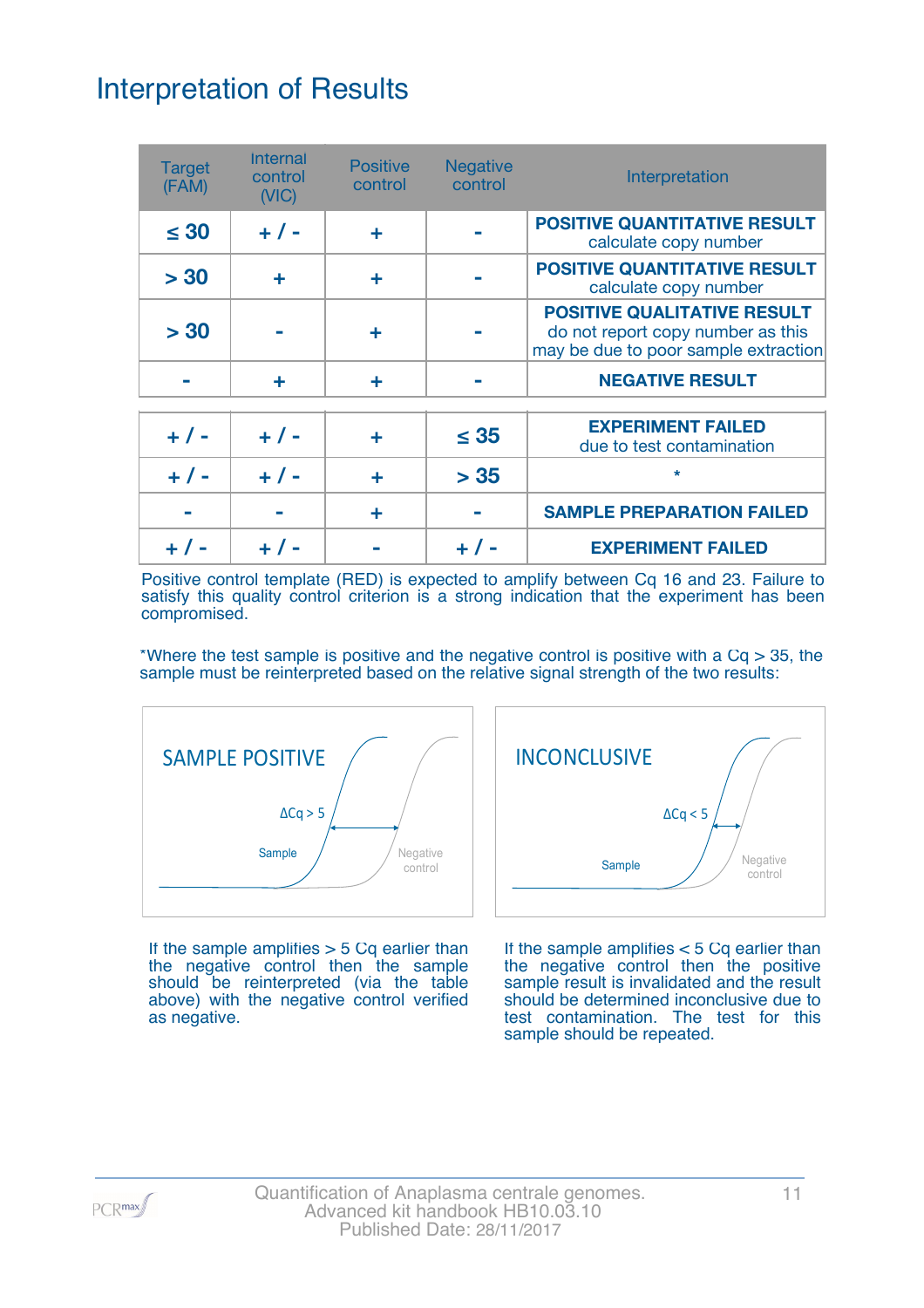## Interpretation of Results

| <b>Target</b><br>(FAM) | <b>Internal</b><br>control<br>(NIC) | <b>Positive</b><br>control | <b>Negative</b><br>control | Interpretation                                                                                                  |
|------------------------|-------------------------------------|----------------------------|----------------------------|-----------------------------------------------------------------------------------------------------------------|
| $\leq 30$              | $+ 1 -$                             | ٠                          |                            | <b>POSITIVE QUANTITATIVE RESULT</b><br>calculate copy number                                                    |
| > 30                   | ÷                                   | ٠                          |                            | <b>POSITIVE QUANTITATIVE RESULT</b><br>calculate copy number                                                    |
| > 30                   |                                     |                            |                            | <b>POSITIVE QUALITATIVE RESULT</b><br>do not report copy number as this<br>may be due to poor sample extraction |
|                        | ÷                                   | ٠                          |                            | <b>NEGATIVE RESULT</b>                                                                                          |
| $+ 1 -$                | $+ 1 -$                             | ÷                          | $\leq 35$                  | <b>EXPERIMENT FAILED</b><br>due to test contamination                                                           |
| $+ 1 -$                | $+ 1 -$                             | ÷                          | > 35                       | $\star$                                                                                                         |
|                        |                                     | ÷                          |                            | <b>SAMPLE PREPARATION FAILED</b>                                                                                |
|                        |                                     |                            |                            | <b>EXPERIMENT FAILED</b>                                                                                        |

Positive control template (RED) is expected to amplify between Cq 16 and 23. Failure to satisfy this quality control criterion is a strong indication that the experiment has been compromised.

\*Where the test sample is positive and the negative control is positive with a  $Cq > 35$ , the sample must be reinterpreted based on the relative signal strength of the two results:



If the sample amplifies  $>$  5 Cq earlier than the negative control then the sample should be reinterpreted (via the table above) with the negative control verified as negative.



If the sample amplifies < 5 Cq earlier than the negative control then the positive sample result is invalidated and the result should be determined inconclusive due to test contamination. The test for this sample should be repeated.